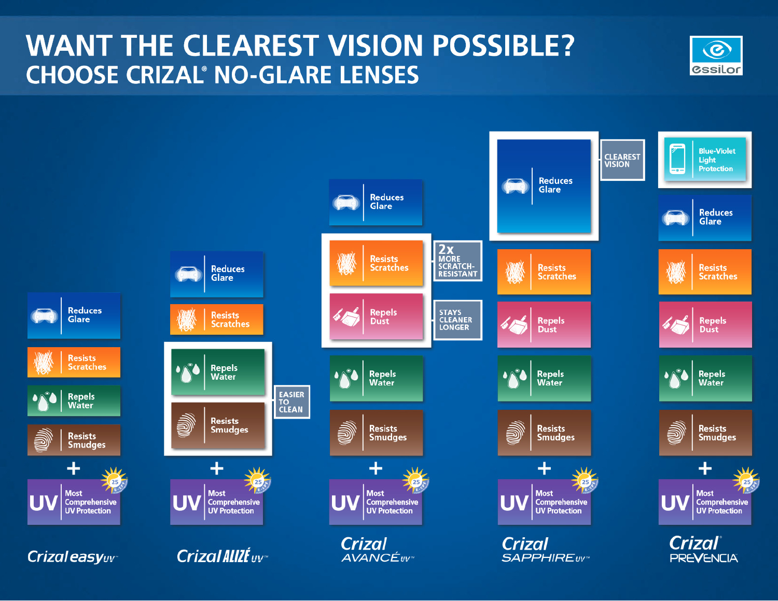# **WANT THE CLEAREST VISION POSSIBLE? CHOOSE CRIZAL® NO-GLARE LENSES**